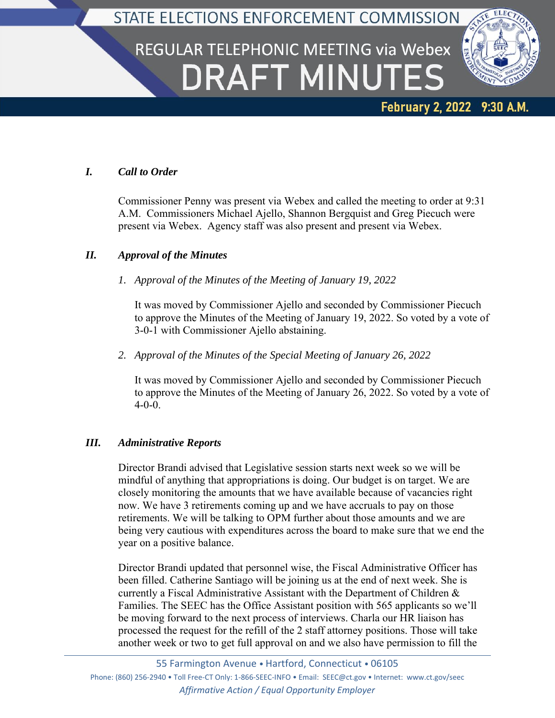## STATE ELECTIONS ENFORCEMENT COMMISSION

# REGULAR TELEPHONIC MEETING via Webex **DRAFT MINUTES**



### February 2, 2022 9:30 A.M.

#### *I. Call to Order*

Commissioner Penny was present via Webex and called the meeting to order at 9:31 A.M. Commissioners Michael Ajello, Shannon Bergquist and Greg Piecuch were present via Webex. Agency staff was also present and present via Webex.

#### *II. Approval of the Minutes*

#### *1. Approval of the Minutes of the Meeting of January 19, 2022*

It was moved by Commissioner Ajello and seconded by Commissioner Piecuch to approve the Minutes of the Meeting of January 19, 2022. So voted by a vote of 3-0-1 with Commissioner Ajello abstaining.

*2. Approval of the Minutes of the Special Meeting of January 26, 2022*

It was moved by Commissioner Ajello and seconded by Commissioner Piecuch to approve the Minutes of the Meeting of January 26, 2022. So voted by a vote of 4-0-0.

#### *III. Administrative Reports*

Director Brandi advised that Legislative session starts next week so we will be mindful of anything that appropriations is doing. Our budget is on target. We are closely monitoring the amounts that we have available because of vacancies right now. We have 3 retirements coming up and we have accruals to pay on those retirements. We will be talking to OPM further about those amounts and we are being very cautious with expenditures across the board to make sure that we end the year on a positive balance.

Director Brandi updated that personnel wise, the Fiscal Administrative Officer has been filled. Catherine Santiago will be joining us at the end of next week. She is currently a Fiscal Administrative Assistant with the Department of Children & Families. The SEEC has the Office Assistant position with 565 applicants so we'll be moving forward to the next process of interviews. Charla our HR liaison has processed the request for the refill of the 2 staff attorney positions. Those will take another week or two to get full approval on and we also have permission to fill the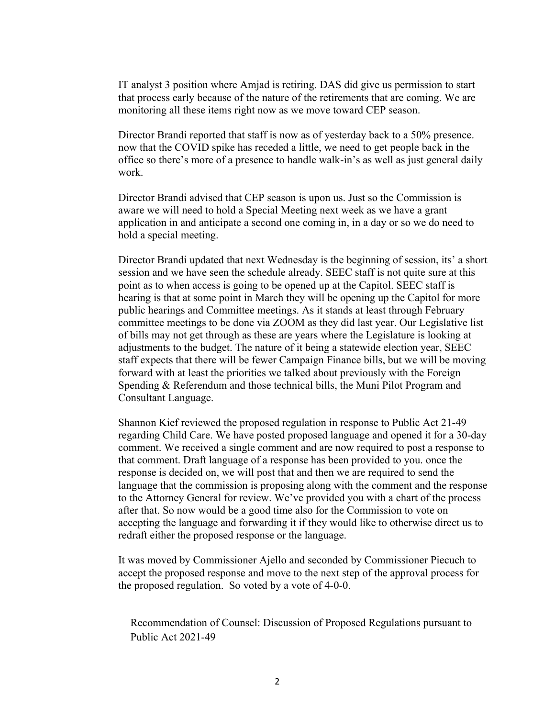IT analyst 3 position where Amjad is retiring. DAS did give us permission to start that process early because of the nature of the retirements that are coming. We are monitoring all these items right now as we move toward CEP season.

Director Brandi reported that staff is now as of yesterday back to a 50% presence. now that the COVID spike has receded a little, we need to get people back in the office so there's more of a presence to handle walk-in's as well as just general daily work.

Director Brandi advised that CEP season is upon us. Just so the Commission is aware we will need to hold a Special Meeting next week as we have a grant application in and anticipate a second one coming in, in a day or so we do need to hold a special meeting.

Director Brandi updated that next Wednesday is the beginning of session, its' a short session and we have seen the schedule already. SEEC staff is not quite sure at this point as to when access is going to be opened up at the Capitol. SEEC staff is hearing is that at some point in March they will be opening up the Capitol for more public hearings and Committee meetings. As it stands at least through February committee meetings to be done via ZOOM as they did last year. Our Legislative list of bills may not get through as these are years where the Legislature is looking at adjustments to the budget. The nature of it being a statewide election year, SEEC staff expects that there will be fewer Campaign Finance bills, but we will be moving forward with at least the priorities we talked about previously with the Foreign Spending & Referendum and those technical bills, the Muni Pilot Program and Consultant Language.

Shannon Kief reviewed the proposed regulation in response to Public Act 21-49 regarding Child Care. We have posted proposed language and opened it for a 30-day comment. We received a single comment and are now required to post a response to that comment. Draft language of a response has been provided to you. once the response is decided on, we will post that and then we are required to send the language that the commission is proposing along with the comment and the response to the Attorney General for review. We've provided you with a chart of the process after that. So now would be a good time also for the Commission to vote on accepting the language and forwarding it if they would like to otherwise direct us to redraft either the proposed response or the language.

It was moved by Commissioner Ajello and seconded by Commissioner Piecuch to accept the proposed response and move to the next step of the approval process for the proposed regulation. So voted by a vote of 4-0-0.

Recommendation of Counsel: Discussion of Proposed Regulations pursuant to Public Act 2021-49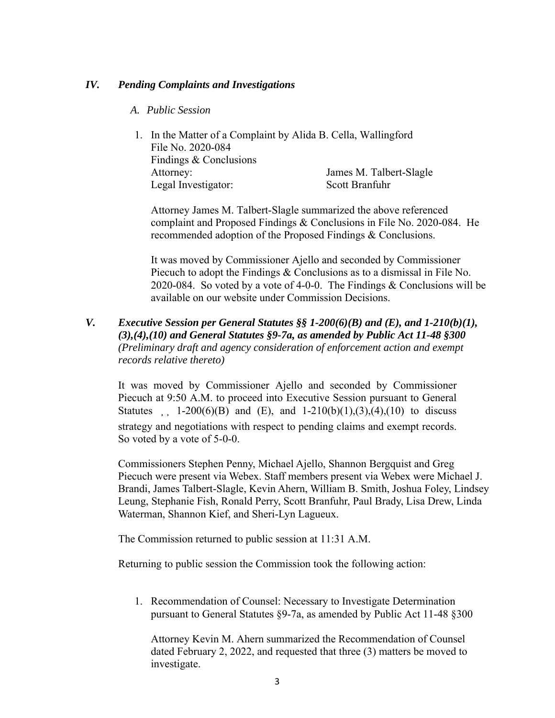#### *IV. Pending Complaints and Investigations*

- *A. Public Session*
- 1. In the Matter of a Complaint by Alida B. Cella, Wallingford File No. 2020-084 Findings & Conclusions Attorney: James M. Talbert-Slagle Legal Investigator: Scott Branfuhr

Attorney James M. Talbert-Slagle summarized the above referenced complaint and Proposed Findings & Conclusions in File No. 2020-084. He recommended adoption of the Proposed Findings & Conclusions.

It was moved by Commissioner Ajello and seconded by Commissioner Piecuch to adopt the Findings & Conclusions as to a dismissal in File No. 2020-084. So voted by a vote of 4-0-0. The Findings & Conclusions will be available on our website under Commission Decisions.

*V. Executive Session per General Statutes §§ 1-200(6)(B) and (E), and 1-210(b)(1), (3),(4),(10) and General Statutes §9-7a, as amended by Public Act 11-48 §300 (Preliminary draft and agency consideration of enforcement action and exempt records relative thereto)*

It was moved by Commissioner Ajello and seconded by Commissioner Piecuch at 9:50 A.M. to proceed into Executive Session pursuant to General Statutes 1-200(6)(B) and (E), and 1-210(b)(1),(3),(4),(10) to discuss strategy and negotiations with respect to pending claims and exempt records. So voted by a vote of 5-0-0.

Commissioners Stephen Penny, Michael Ajello, Shannon Bergquist and Greg Piecuch were present via Webex. Staff members present via Webex were Michael J. Brandi, James Talbert-Slagle, Kevin Ahern, William B. Smith, Joshua Foley, Lindsey Leung, Stephanie Fish, Ronald Perry, Scott Branfuhr, Paul Brady, Lisa Drew, Linda Waterman, Shannon Kief, and Sheri-Lyn Lagueux.

The Commission returned to public session at 11:31 A.M.

Returning to public session the Commission took the following action:

1. Recommendation of Counsel: Necessary to Investigate Determination pursuant to General Statutes §9-7a, as amended by Public Act 11-48 §300

Attorney Kevin M. Ahern summarized the Recommendation of Counsel dated February 2, 2022, and requested that three (3) matters be moved to investigate.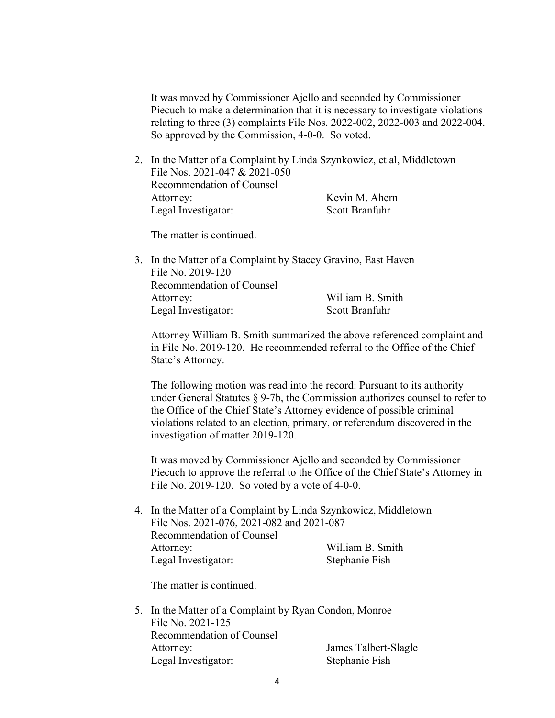It was moved by Commissioner Ajello and seconded by Commissioner Piecuch to make a determination that it is necessary to investigate violations relating to three (3) complaints File Nos. 2022-002, 2022-003 and 2022-004. So approved by the Commission, 4-0-0. So voted.

2. In the Matter of a Complaint by Linda Szynkowicz, et al, Middletown File Nos. 2021-047 & 2021-050 Recommendation of Counsel Attorney: Kevin M. Ahern Legal Investigator: Scott Branfuhr

The matter is continued.

| File No. 2019-120         |                                                               |
|---------------------------|---------------------------------------------------------------|
| Recommendation of Counsel |                                                               |
| Attorney:                 | William B. Smith                                              |
| Legal Investigator:       | Scott Branfuhr                                                |
|                           | 3. In the Matter of a Complaint by Stacey Gravino, East Haven |

Attorney William B. Smith summarized the above referenced complaint and in File No. 2019-120. He recommended referral to the Office of the Chief State's Attorney.

The following motion was read into the record: Pursuant to its authority under General Statutes § 9-7b, the Commission authorizes counsel to refer to the Office of the Chief State's Attorney evidence of possible criminal violations related to an election, primary, or referendum discovered in the investigation of matter 2019-120.

It was moved by Commissioner Ajello and seconded by Commissioner Piecuch to approve the referral to the Office of the Chief State's Attorney in File No. 2019-120. So voted by a vote of 4-0-0.

4. In the Matter of a Complaint by Linda Szynkowicz, Middletown File Nos. 2021-076, 2021-082 and 2021-087 Recommendation of Counsel Attorney: William B. Smith Legal Investigator: Stephanie Fish

The matter is continued.

5. In the Matter of a Complaint by Ryan Condon, Monroe File No. 2021-125 Recommendation of Counsel Attorney: James Talbert-Slagle Legal Investigator: Stephanie Fish